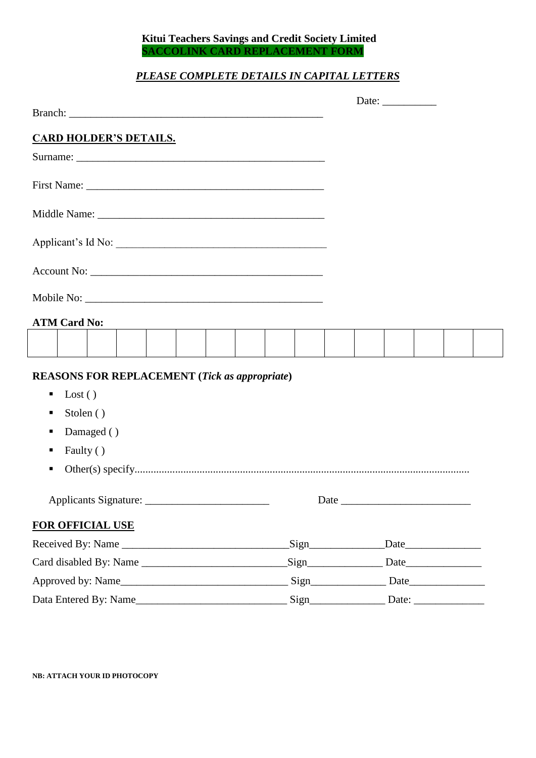# **Kitui Teachers Savings and Credit Society Limited SACCOLINK CARD REPLACEMENT FORM**

# *PLEASE COMPLETE DETAILS IN CAPITAL LETTERS*

|                               |                     |                         |  |  |  |  |                                                      |      |  |  |  | Date: $\_\_$ |      |  |
|-------------------------------|---------------------|-------------------------|--|--|--|--|------------------------------------------------------|------|--|--|--|--------------|------|--|
|                               |                     |                         |  |  |  |  |                                                      |      |  |  |  |              |      |  |
| <b>CARD HOLDER'S DETAILS.</b> |                     |                         |  |  |  |  |                                                      |      |  |  |  |              |      |  |
|                               |                     |                         |  |  |  |  |                                                      |      |  |  |  |              |      |  |
|                               |                     |                         |  |  |  |  |                                                      |      |  |  |  |              |      |  |
|                               |                     |                         |  |  |  |  |                                                      |      |  |  |  |              |      |  |
| Applicant's Id No:            |                     |                         |  |  |  |  |                                                      |      |  |  |  |              |      |  |
|                               |                     |                         |  |  |  |  |                                                      |      |  |  |  |              |      |  |
|                               |                     |                         |  |  |  |  |                                                      |      |  |  |  |              |      |  |
|                               | <b>ATM Card No:</b> |                         |  |  |  |  |                                                      |      |  |  |  |              |      |  |
|                               |                     |                         |  |  |  |  |                                                      |      |  |  |  |              |      |  |
|                               |                     |                         |  |  |  |  | <b>REASONS FOR REPLACEMENT (Tick as appropriate)</b> |      |  |  |  |              |      |  |
| п                             | $\text{Lost}( )$    |                         |  |  |  |  |                                                      |      |  |  |  |              |      |  |
| Stolen ()<br>п                |                     |                         |  |  |  |  |                                                      |      |  |  |  |              |      |  |
| п                             |                     | Damaged ()              |  |  |  |  |                                                      |      |  |  |  |              |      |  |
| п                             | Faulty ()           |                         |  |  |  |  |                                                      |      |  |  |  |              |      |  |
| ٠                             |                     |                         |  |  |  |  |                                                      |      |  |  |  |              |      |  |
|                               |                     |                         |  |  |  |  |                                                      |      |  |  |  |              |      |  |
|                               |                     | <b>FOR OFFICIAL USE</b> |  |  |  |  |                                                      |      |  |  |  |              |      |  |
|                               |                     |                         |  |  |  |  | Received By: Name                                    | Sign |  |  |  |              | Date |  |
|                               |                     |                         |  |  |  |  | Card disabled By: Name                               | Sign |  |  |  |              |      |  |
|                               |                     |                         |  |  |  |  |                                                      |      |  |  |  |              |      |  |
| Data Entered By: Name         |                     |                         |  |  |  |  |                                                      |      |  |  |  |              |      |  |

# **NB: ATTACH YOUR ID PHOTOCOPY**